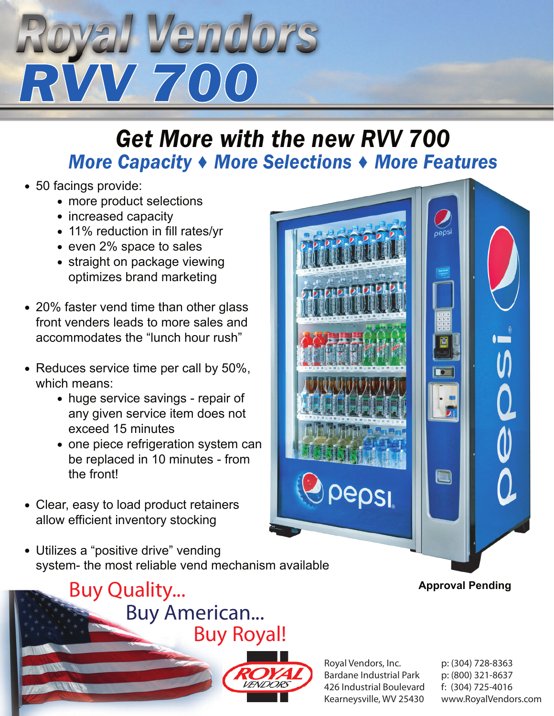# *yal Vendors*<br>W 700

### *Get More with the new RVV 700 More Capacity ♦ More Selections ♦ More Features*

- 50 facings provide:
	- more product selections
	- increased capacity
	- 11% reduction in fill rates/yr
- even 2% space to sales
- straight on package viewing optimizes brand marketing
- 20% faster vend time than other glass front venders leads to more sales and accommodates the "lunch hour rush"
- Reduces service time per call by 50%, which means:
	- huge service savings repair of any given service item does not exceed 15 minutes
	- one piece refrigeration system can be replaced in 10 minutes - from the front!
- Clear, easy to load product retainers allow efficient inventory stocking
- Utilizes a "positive drive" vending system- the most reliable vend mechanism available

#### *Buy Quality... Buy American... Buy Royal!*



Royal Vendors, Inc. Bardane Industrial Park 426 Industrial Boulevard Kearneysville, WV 25430

pepsi

p: (304) 728-8363 p: (800) 321-8637 f: (304) 725-4016 www.RoyalVendors.com

#### **Approval Pending**

 $\blacksquare$